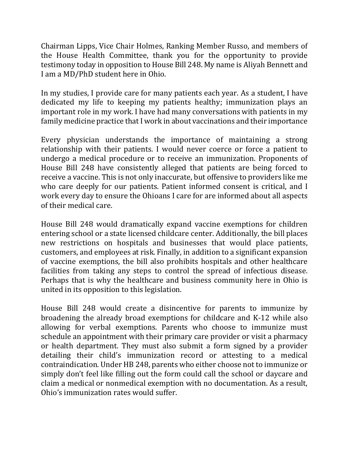Chairman Lipps, Vice Chair Holmes, Ranking Member Russo, and members of the House Health Committee, thank you for the opportunity to provide testimony today in opposition to House Bill 248. My name is Aliyah Bennett and I am a MD/PhD student here in Ohio.

In my studies, I provide care for many patients each year. As a student, I have dedicated my life to keeping my patients healthy; immunization plays an important role in my work. I have had many conversations with patients in my family medicine practice that I work in about vaccinations and their importance

Every physician understands the importance of maintaining a strong relationship with their patients. I would never coerce or force a patient to undergo a medical procedure or to receive an immunization. Proponents of House Bill 248 have consistently alleged that patients are being forced to receive a vaccine. This is not only inaccurate, but offensive to providers like me who care deeply for our patients. Patient informed consent is critical, and I work every day to ensure the Ohioans I care for are informed about all aspects of their medical care.

House Bill 248 would dramatically expand vaccine exemptions for children entering school or a state licensed childcare center. Additionally, the bill places new restrictions on hospitals and businesses that would place patients, customers, and employees at risk. Finally, in addition to a significant expansion of vaccine exemptions, the bill also prohibits hospitals and other healthcare facilities from taking any steps to control the spread of infectious disease. Perhaps that is why the healthcare and business community here in Ohio is united in its opposition to this legislation.

House Bill 248 would create a disincentive for parents to immunize by broadening the already broad exemptions for childcare and K-12 while also allowing for verbal exemptions. Parents who choose to immunize must schedule an appointment with their primary care provider or visit a pharmacy or health department. They must also submit a form signed by a provider detailing their child's immunization record or attesting to a medical contraindication. Under HB 248, parents who either choose not to immunize or simply don't feel like filling out the form could call the school or daycare and claim a medical or nonmedical exemption with no documentation. As a result, Ohio's immunization rates would suffer.